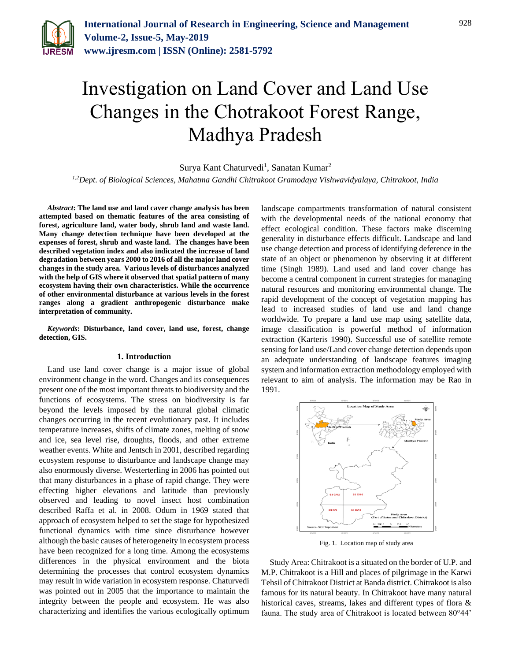

# Investigation on Land Cover and Land Use Changes in the Chotrakoot Forest Range, Madhya Pradesh

Surya Kant Chaturvedi<sup>1</sup>, Sanatan Kumar<sup>2</sup>

*1,2Dept. of Biological Sciences, Mahatma Gandhi Chitrakoot Gramodaya Vishwavidyalaya, Chitrakoot, India*

*Abstract***: The land use and land caver change analysis has been attempted based on thematic features of the area consisting of forest, agriculture land, water body, shrub land and waste land. Many change detection technique have been developed at the expenses of forest, shrub and waste land. The changes have been described vegetation index and also indicated the increase of land degradation between years 2000 to 2016 of all the major land cover changes in the study area. Various levels of disturbances analyzed with the help of GIS where it observed that spatial pattern of many ecosystem having their own characteristics. While the occurrence of other environmental disturbance at various levels in the forest ranges along a gradient anthropogenic disturbance make interpretation of community.** 

*Keywords***: Disturbance, land cover, land use, forest, change detection, GIS.**

#### **1. Introduction**

Land use land cover change is a major issue of global environment change in the word. Changes and its consequences present one of the most important threats to biodiversity and the functions of ecosystems. The stress on biodiversity is far beyond the levels imposed by the natural global climatic changes occurring in the recent evolutionary past. It includes temperature increases, shifts of climate zones, melting of snow and ice, sea level rise, droughts, floods, and other extreme weather events. White and Jentsch in 2001, described regarding ecosystem response to disturbance and landscape change may also enormously diverse. Westerterling in 2006 has pointed out that many disturbances in a phase of rapid change. They were effecting higher elevations and latitude than previously observed and leading to novel insect host combination described Raffa et al. in 2008. Odum in 1969 stated that approach of ecosystem helped to set the stage for hypothesized functional dynamics with time since disturbance however although the basic causes of heterogeneity in ecosystem process have been recognized for a long time. Among the ecosystems differences in the physical environment and the biota determining the processes that control ecosystem dynamics may result in wide variation in ecosystem response. Chaturvedi was pointed out in 2005 that the importance to maintain the integrity between the people and ecosystem. He was also characterizing and identifies the various ecologically optimum landscape compartments transformation of natural consistent with the developmental needs of the national economy that effect ecological condition. These factors make discerning generality in disturbance effects difficult. Landscape and land use change detection and process of identifying deference in the state of an object or phenomenon by observing it at different time (Singh 1989). Land used and land cover change has become a central component in current strategies for managing natural resources and monitoring environmental change. The rapid development of the concept of vegetation mapping has lead to increased studies of land use and land change worldwide. To prepare a land use map using satellite data, image classification is powerful method of information extraction (Karteris 1990). Successful use of satellite remote sensing for land use/Land cover change detection depends upon an adequate understanding of landscape features imaging system and information extraction methodology employed with relevant to aim of analysis. The information may be Rao in 1991.



Fig. 1. Location map of study area

Study Area: Chitrakoot is a situated on the border of U.P. and M.P. Chitrakoot is a Hill and places of pilgrimage in the Karwi Tehsil of Chitrakoot District at Banda district. Chitrakoot is also famous for its natural beauty. In Chitrakoot have many natural historical caves, streams, lakes and different types of flora & fauna. The study area of Chitrakoot is located between 80°44'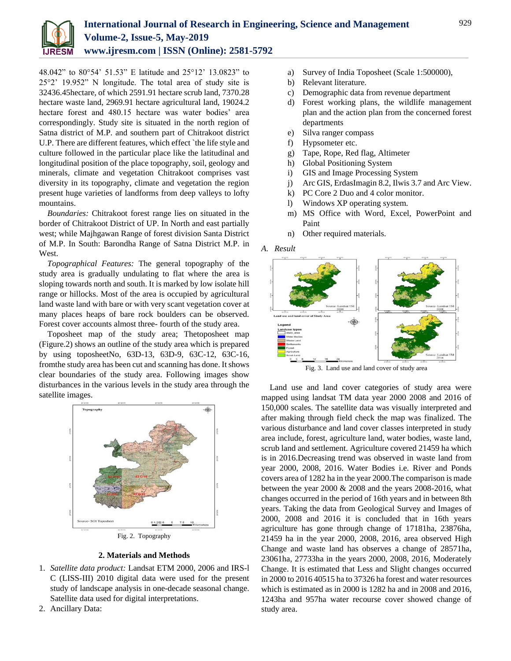

48.042" to 80°54' 51.53" E latitude and 25°12' 13.0823" to 25°2' 19.952" N longitude. The total area of study site is 32436.45hectare, of which 2591.91 hectare scrub land, 7370.28 hectare waste land, 2969.91 hectare agricultural land, 19024.2 hectare forest and 480.15 hectare was water bodies' area correspondingly. Study site is situated in the north region of Satna district of M.P. and southern part of Chitrakoot district U.P. There are different features, which effect `the life style and culture followed in the particular place like the latitudinal and longitudinal position of the place topography, soil, geology and minerals, climate and vegetation Chitrakoot comprises vast diversity in its topography, climate and vegetation the region present huge varieties of landforms from deep valleys to lofty mountains.

*Boundaries:* Chitrakoot forest range lies on situated in the border of Chitrakoot District of UP. In North and east partially west; while Majhgawan Range of forest division Santa District of M.P. In South: Barondha Range of Satna District M.P. in West.

*Topographical Features:* The general topography of the study area is gradually undulating to flat where the area is sloping towards north and south. It is marked by low isolate hill range or hillocks. Most of the area is occupied by agricultural land waste land with bare or with very scant vegetation cover at many places heaps of bare rock boulders can be observed. Forest cover accounts almost three- fourth of the study area.

Toposheet map of the study area; Thetoposheet map (Figure.2) shows an outline of the study area which is prepared by using toposheetNo, 63D-13, 63D-9, 63C-12, 63C-16, fromthe study area has been cut and scanning has done. It shows clear boundaries of the study area. Following images show disturbances in the various levels in the study area through the satellite images.



Fig. 2. Topography

## **2. Materials and Methods**

- 1. *Satellite data product:* Landsat ETM 2000, 2006 and IRS-l C (LISS-III) 2010 digital data were used for the present study of landscape analysis in one-decade seasonal change. Satellite data used for digital interpretations.
- 2. Ancillary Data:
- a) Survey of India Toposheet (Scale 1:500000),
- b) Relevant literature.
- c) Demographic data from revenue department
- d) Forest working plans, the wildlife management plan and the action plan from the concerned forest departments
- e) Silva ranger compass
- f) Hypsometer etc.
- g) Tape, Rope, Red flag, Altimeter
- h) Global Positioning System
- i) GIS and Image Processing System
- j) Arc GIS, ErdasImagin 8.2, Ilwis 3.7 and Arc View.
- k) PC Core 2 Duo and 4 color monitor.
- l) Windows XP operating system.
- m) MS Office with Word, Excel, PowerPoint and Paint
- n) Other required materials.

### *A. Result*



Fig. 3. Land use and land cover of study area

Land use and land cover categories of study area were mapped using landsat TM data year 2000 2008 and 2016 of 150,000 scales. The satellite data was visually interpreted and after making through field check the map was finalized. The various disturbance and land cover classes interpreted in study area include, forest, agriculture land, water bodies, waste land, scrub land and settlement. Agriculture covered 21459 ha which is in 2016.Decreasing trend was observed in waste land from year 2000, 2008, 2016. Water Bodies i.e. River and Ponds covers area of 1282 ha in the year 2000.The comparison is made between the year 2000 & 2008 and the years 2008-2016, what changes occurred in the period of 16th years and in between 8th years. Taking the data from Geological Survey and Images of 2000, 2008 and 2016 it is concluded that in 16th years agriculture has gone through change of 17181ha, 23876ha, 21459 ha in the year 2000, 2008, 2016, area observed High Change and waste land has observes a change of 28571ha, 23061ha, 27733ha in the years 2000, 2008, 2016, Moderately Change. It is estimated that Less and Slight changes occurred in 2000 to 2016 40515 ha to 37326 ha forest and water resources which is estimated as in 2000 is 1282 ha and in 2008 and 2016, 1243ha and 957ha water recourse cover showed change of study area.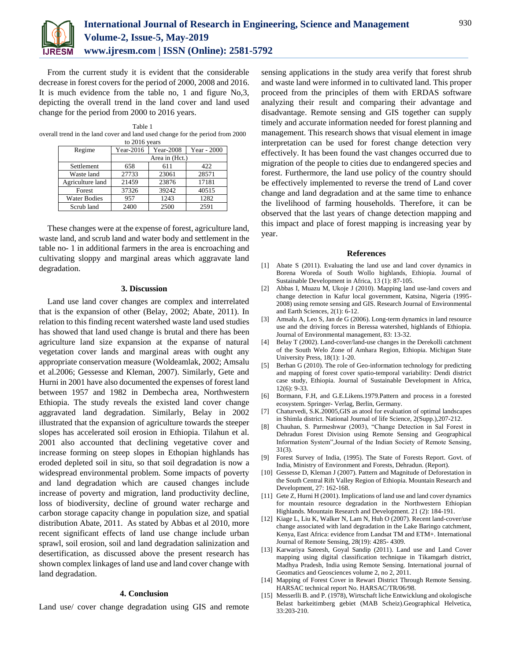

From the current study it is evident that the considerable decrease in forest covers for the period of 2000, 2008 and 2016. It is much evidence from the table no, 1 and figure No,3, depicting the overall trend in the land cover and land used change for the period from 2000 to 2016 years.

Table 1 overall trend in the land cover and land used change for the period from 2000 to 2016 years

| Regime              | $Year-2016$    | Year-2008 | Year - 2000 |
|---------------------|----------------|-----------|-------------|
|                     | Area in (Hct.) |           |             |
| Settlement          | 658            | 611       | 422         |
| Waste land          | 27733          | 23061     | 28571       |
| Agriculture land    | 21459          | 23876     | 17181       |
| Forest              | 37326          | 39242     | 40515       |
| <b>Water Bodies</b> | 957            | 1243      | 1282        |
| Scrub land          | 2400           | 2500      | 2591        |

These changes were at the expense of forest, agriculture land, waste land, and scrub land and water body and settlement in the table no- 1 in additional farmers in the area is encroaching and cultivating sloppy and marginal areas which aggravate land degradation.

#### **3. Discussion**

Land use land cover changes are complex and interrelated that is the expansion of other (Belay, 2002; Abate, 2011). In relation to this finding recent watershed waste land used studies has showed that land used change is brutal and there has been agriculture land size expansion at the expanse of natural vegetation cover lands and marginal areas with ought any appropriate conservation measure (Woldeamlak, 2002; Amsalu et al.2006; Gessesse and Kleman, 2007). Similarly, Gete and Hurni in 2001 have also documented the expenses of forest land between 1957 and 1982 in Dembecha area, Northwestern Ethiopia. The study reveals the existed land cover change aggravated land degradation. Similarly, Belay in 2002 illustrated that the expansion of agriculture towards the steeper slopes has accelerated soil erosion in Ethiopia. Tilahun et al. 2001 also accounted that declining vegetative cover and increase forming on steep slopes in Ethopian highlands has eroded depleted soil in situ, so that soil degradation is now a widespread environmental problem. Some impacts of poverty and land degradation which are caused changes include increase of poverty and migration, land productivity decline, loss of biodiversity, decline of ground water recharge and carbon storage capacity change in population size, and spatial distribution Abate, 2011. As stated by Abbas et al 2010, more recent significant effects of land use change include urban sprawl, soil erosion, soil and land degradation salinization and desertification, as discussed above the present research has shown complex linkages of land use and land cover change with land degradation.

#### **4. Conclusion**

Land use/ cover change degradation using GIS and remote

sensing applications in the study area verify that forest shrub and waste land were informed in to cultivated land. This proper proceed from the principles of them with ERDAS software analyzing their result and comparing their advantage and disadvantage. Remote sensing and GIS together can supply timely and accurate information needed for forest planning and management. This research shows that visual element in image interpretation can be used for forest change detection very effectively. It has been found the vast changes occurred due to migration of the people to cities due to endangered species and forest. Furthermore, the land use policy of the country should be effectively implemented to reverse the trend of Land cover change and land degradation and at the same time to enhance the livelihood of farming households. Therefore, it can be observed that the last years of change detection mapping and this impact and place of forest mapping is increasing year by year.

#### **References**

- [1] Abate S (2011). Evaluating the land use and land cover dynamics in Borena Woreda of South Wollo highlands, Ethiopia. Journal of Sustainable Development in Africa, 13 (1): 87-105.
- [2] Abbas I, Muazu M, Ukoje J (2010). Mapping land use-land covers and change detection in Kafur local government, Katsina, Nigeria (1995- 2008) using remote sensing and GIS. Research Journal of Environmental and Earth Sciences, 2(1): 6-12.
- [3] Amsalu A, Leo S, Jan de G (2006). Long-term dynamics in land resource use and the driving forces in Beressa watershed, highlands of Ethiopia. Journal of Environmental management, 83: 13-32.
- [4] Belay T (2002). Land-cover/land-use changes in the Derekolli catchment of the South Welo Zone of Amhara Region, Ethiopia. Michigan State University Press, 18(1): 1-20.
- [5] Berhan G (2010). The role of Geo-information technology for predicting and mapping of forest cover spatio-temporal variability: Dendi district case study, Ethiopia. Journal of Sustainable Development in Africa,  $12(6)$ : 9-33.
- [6] Bormann, F.H, and G.E.Likens.1979.Pattern and process in a forested ecosystem. Springer- Verlag, Berlin, Germany.
- [7] Chaturvedi, S.K.20005,GIS as atool for evaluation of optimal landscapes in Shimla district. National Journal of life Science, 2(Supp.),207-212.
- [8] Chauhan, S. Parmeshwar (2003), "Change Detection in Sal Forest in Dehradun Forest Division using Remote Sensing and Geographical Information System",Journal of the Indian Society of Remote Sensing, 31(3).
- [9] Forest Survey of India, (1995). The State of Forests Report. Govt. of India, Ministry of Environment and Forests, Dehradun. (Report).
- [10] Gessesse D, Kleman J (2007). Pattern and Magnitude of Deforestation in the South Central Rift Valley Region of Ethiopia. Mountain Research and Development, 27: 162-168.
- [11] Gete Z, Hurni H (2001). Implications of land use and land cover dynamics for mountain resource degradation in the Northwestern Ethiopian Highlands. Mountain Research and Development. 21 (2): 184-191.
- [12] Kiage L, Liu K, Walker N, Lam N, Huh O (2007). Recent land-cover/use change associated with land degradation in the Lake Baringo catchment, Kenya, East Africa: evidence from Landsat TM and ETM+. International Journal of Remote Sensing, 28(19): 4285- 4309.
- [13] Karwariya Sateesh, Goyal Sandip (2011). Land use and Land Cover mapping using digital classification technique in Tikamgarh district, Madhya Pradesh, India using Remote Sensing. International journal of Geomatics and Geosciences volume 2, no 2, 2011.
- [14] Mapping of Forest Cover in Rewari District Through Remote Sensing. HARSAC technical report No. HARSAC/TR/06/98.
- [15] Messerlli B. and P. (1978), Wirtschaft liche Entwicklung and okologische Belast barkeitimberg gebiet (MAB Scheiz).Geographical Helvetica, 33:203-210.